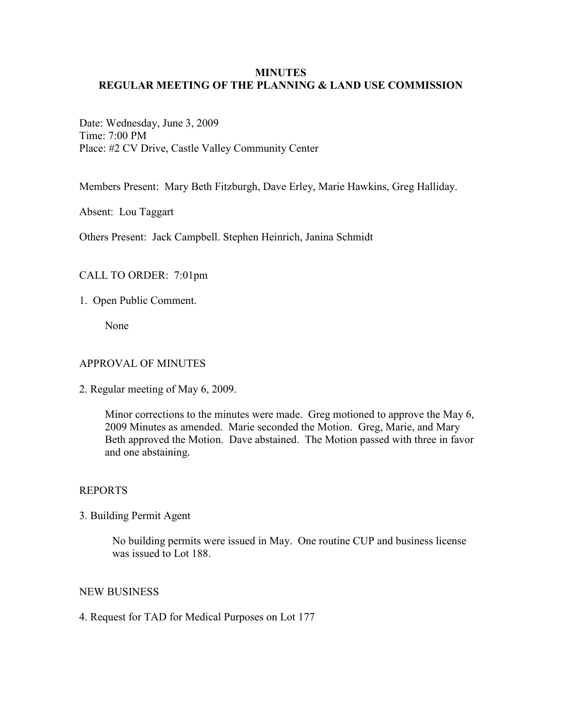# **MINUTES REGULAR MEETING OF THE PLANNING & LAND USE COMMISSION**

Date: Wednesday, June 3, 2009 Time: 7:00 PM Place: #2 CV Drive, Castle Valley Community Center

Members Present: Mary Beth Fitzburgh, Dave Erley, Marie Hawkins, Greg Halliday.

Absent: Lou Taggart

Others Present: Jack Campbell. Stephen Heinrich, Janina Schmidt

### CALL TO ORDER: 7:01pm

1. Open Public Comment.

None

### APPROVAL OF MINUTES

2. Regular meeting of May 6, 2009.

Minor corrections to the minutes were made. Greg motioned to approve the May 6, 2009 Minutes as amended. Marie seconded the Motion. Greg, Marie, and Mary Beth approved the Motion. Dave abstained. The Motion passed with three in favor and one abstaining.

### REPORTS

3. Building Permit Agent

No building permits were issued in May. One routine CUP and business license was issued to Lot 188.

#### NEW BUSINESS

4. Request for TAD for Medical Purposes on Lot 177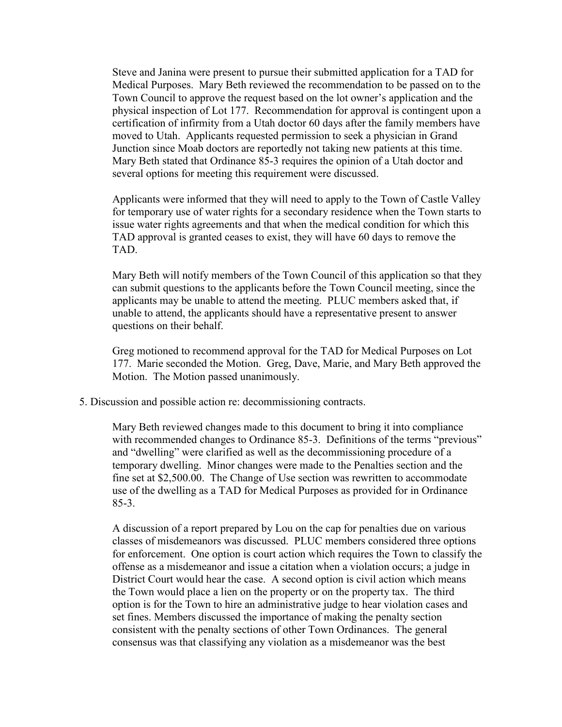Steve and Janina were present to pursue their submitted application for a TAD for Medical Purposes. Mary Beth reviewed the recommendation to be passed on to the Town Council to approve the request based on the lot owner's application and the physical inspection of Lot 177. Recommendation for approval is contingent upon a certification of infirmity from a Utah doctor 60 days after the family members have moved to Utah. Applicants requested permission to seek a physician in Grand Junction since Moab doctors are reportedly not taking new patients at this time. Mary Beth stated that Ordinance 85-3 requires the opinion of a Utah doctor and several options for meeting this requirement were discussed.

Applicants were informed that they will need to apply to the Town of Castle Valley for temporary use of water rights for a secondary residence when the Town starts to issue water rights agreements and that when the medical condition for which this TAD approval is granted ceases to exist, they will have 60 days to remove the TAD.

Mary Beth will notify members of the Town Council of this application so that they can submit questions to the applicants before the Town Council meeting, since the applicants may be unable to attend the meeting. PLUC members asked that, if unable to attend, the applicants should have a representative present to answer questions on their behalf.

Greg motioned to recommend approval for the TAD for Medical Purposes on Lot 177. Marie seconded the Motion. Greg, Dave, Marie, and Mary Beth approved the Motion. The Motion passed unanimously.

5. Discussion and possible action re: decommissioning contracts.

Mary Beth reviewed changes made to this document to bring it into compliance with recommended changes to Ordinance 85-3. Definitions of the terms "previous" and "dwelling" were clarified as well as the decommissioning procedure of a temporary dwelling. Minor changes were made to the Penalties section and the fine set at \$2,500.00. The Change of Use section was rewritten to accommodate use of the dwelling as a TAD for Medical Purposes as provided for in Ordinance 85-3.

A discussion of a report prepared by Lou on the cap for penalties due on various classes of misdemeanors was discussed. PLUC members considered three options for enforcement. One option is court action which requires the Town to classify the offense as a misdemeanor and issue a citation when a violation occurs; a judge in District Court would hear the case. A second option is civil action which means the Town would place a lien on the property or on the property tax. The third option is for the Town to hire an administrative judge to hear violation cases and set fines. Members discussed the importance of making the penalty section consistent with the penalty sections of other Town Ordinances. The general consensus was that classifying any violation as a misdemeanor was the best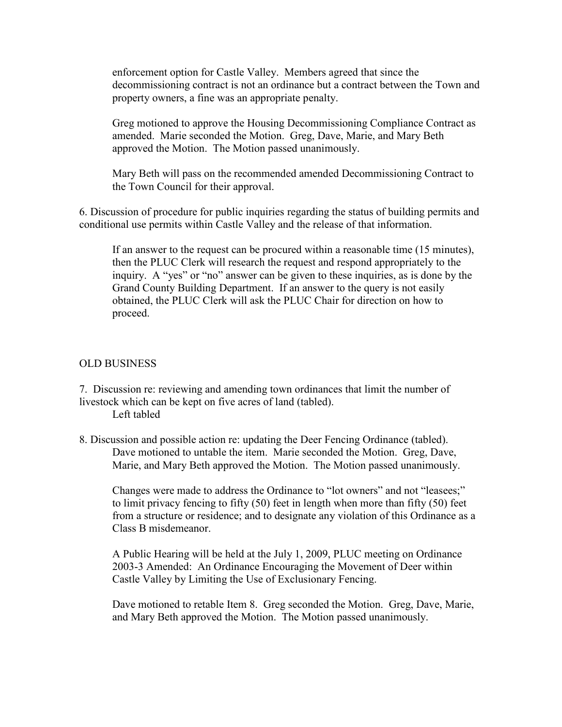enforcement option for Castle Valley. Members agreed that since the decommissioning contract is not an ordinance but a contract between the Town and property owners, a fine was an appropriate penalty.

Greg motioned to approve the Housing Decommissioning Compliance Contract as amended. Marie seconded the Motion. Greg, Dave, Marie, and Mary Beth approved the Motion. The Motion passed unanimously.

Mary Beth will pass on the recommended amended Decommissioning Contract to the Town Council for their approval.

6. Discussion of procedure for public inquiries regarding the status of building permits and conditional use permits within Castle Valley and the release of that information.

If an answer to the request can be procured within a reasonable time (15 minutes), then the PLUC Clerk will research the request and respond appropriately to the inquiry. A "yes" or "no" answer can be given to these inquiries, as is done by the Grand County Building Department. If an answer to the query is not easily obtained, the PLUC Clerk will ask the PLUC Chair for direction on how to proceed.

# OLD BUSINESS

7. Discussion re: reviewing and amending town ordinances that limit the number of livestock which can be kept on five acres of land (tabled).

Left tabled

8. Discussion and possible action re: updating the Deer Fencing Ordinance (tabled). Dave motioned to untable the item. Marie seconded the Motion. Greg, Dave, Marie, and Mary Beth approved the Motion. The Motion passed unanimously.

 Changes were made to address the Ordinance to "lot owners" and not "leasees;" to limit privacy fencing to fifty (50) feet in length when more than fifty (50) feet from a structure or residence; and to designate any violation of this Ordinance as a Class B misdemeanor.

A Public Hearing will be held at the July 1, 2009, PLUC meeting on Ordinance 2003-3 Amended: An Ordinance Encouraging the Movement of Deer within Castle Valley by Limiting the Use of Exclusionary Fencing.

Dave motioned to retable Item 8. Greg seconded the Motion. Greg, Dave, Marie, and Mary Beth approved the Motion. The Motion passed unanimously.